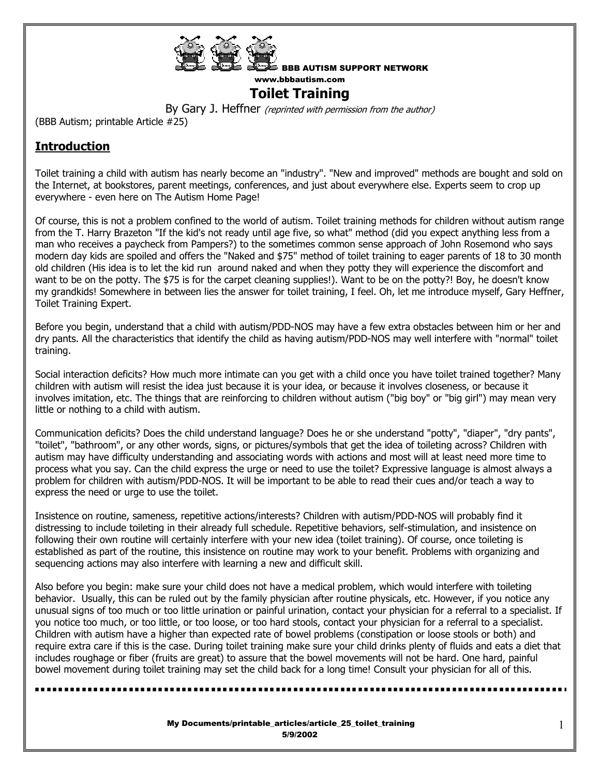

## **Toilet Training**

By Gary J. Heffner (reprinted with permission from the author)

(BBB Autism; printable Article #25)

## **Introduction**

Toilet training a child with autism has nearly become an "industry". "New and improved" methods are bought and sold on the Internet, at bookstores, parent meetings, conferences, and just about everywhere else. Experts seem to crop up everywhere - even here on The Autism Home Page!

Of course, this is not a problem confined to the world of autism. Toilet training methods for children without autism range from the T. Harry Brazeton "If the kid's not ready until age five, so what" method (did you expect anything less from a man who receives a paycheck from Pampers?) to the sometimes common sense approach of John Rosemond who says modern day kids are spoiled and offers the "Naked and \$75" method of toilet training to eager parents of 18 to 30 month old children (His idea is to let the kid run around naked and when they potty they will experience the discomfort and want to be on the potty. The \$75 is for the carpet cleaning supplies!). Want to be on the potty?! Boy, he doesn't know my grandkids! Somewhere in between lies the answer for toilet training, I feel. Oh, let me introduce myself, Gary Heffner, Toilet Training Expert.

Before you begin, understand that a child with autism/PDD-NOS may have a few extra obstacles between him or her and dry pants. All the characteristics that identify the child as having autism/PDD-NOS may well interfere with "normal" toilet training.

Social interaction deficits? How much more intimate can you get with a child once you have toilet trained together? Many children with autism will resist the idea just because it is your idea, or because it involves closeness, or because it involves imitation, etc. The things that are reinforcing to children without autism ("big boy" or "big girl") may mean very little or nothing to a child with autism.

Communication deficits? Does the child understand language? Does he or she understand "potty", "diaper", "dry pants", "toilet", "bathroom", or any other words, signs, or pictures/symbols that get the idea of toileting across? Children with autism may have difficulty understanding and associating words with actions and most will at least need more time to process what you say. Can the child express the urge or need to use the toilet? Expressive language is almost always a problem for children with autism/PDD-NOS. It will be important to be able to read their cues and/or teach a way to express the need or urge to use the toilet.

Insistence on routine, sameness, repetitive actions/interests? Children with autism/PDD-NOS will probably find it distressing to include toileting in their already full schedule. Repetitive behaviors, self-stimulation, and insistence on following their own routine will certainly interfere with your new idea (toilet training). Of course, once toileting is established as part of the routine, this insistence on routine may work to your benefit. Problems with organizing and sequencing actions may also interfere with learning a new and difficult skill.

Also before you begin: make sure your child does not have a medical problem, which would interfere with toileting behavior. Usually, this can be ruled out by the family physician after routine physicals, etc. However, if you notice any unusual signs of too much or too little urination or painful urination, contact your physician for a referral to a specialist. If you notice too much, or too little, or too loose, or too hard stools, contact your physician for a referral to a specialist. Children with autism have a higher than expected rate of bowel problems (constipation or loose stools or both) and require extra care if this is the case. During toilet training make sure your child drinks plenty of fluids and eats a diet that includes roughage or fiber (fruits are great) to assure that the bowel movements will not be hard. One hard, painful bowel movement during toilet training may set the child back for a long time! Consult your physician for all of this.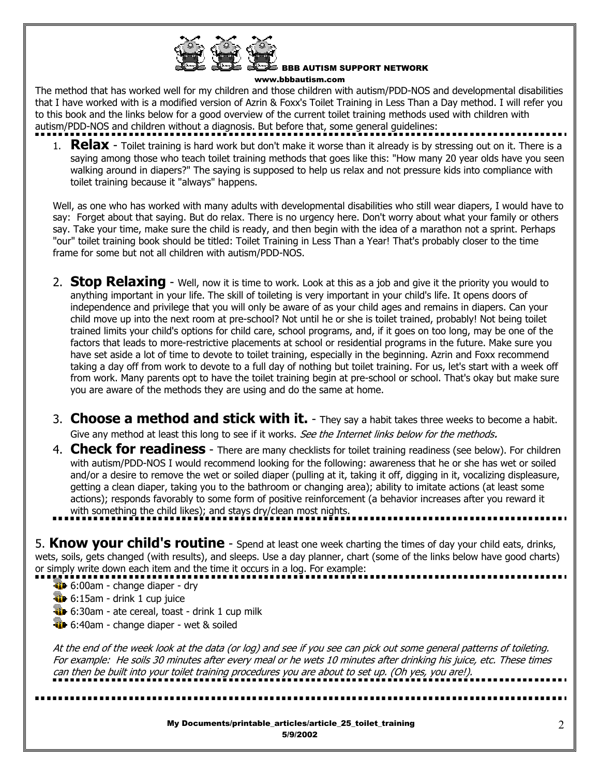

BBB AUTISM SUPPORT NETWORK

www.bbbautism.com

The method that has worked well for my children and those children with autism/PDD-NOS and developmental disabilities that I have worked with is a modified version of Azrin & Foxx's Toilet Training in Less Than a Day method. I will refer you to this book and the links below for a good overview of the current toilet training methods used with children with autism/PDD-NOS and children without a diagnosis. But before that, some general guidelines:

1. **Relax** - Toilet training is hard work but don't make it worse than it already is by stressing out on it. There is a saying among those who teach toilet training methods that goes like this: "How many 20 year olds have you seen walking around in diapers?" The saying is supposed to help us relax and not pressure kids into compliance with toilet training because it "always" happens.

Well, as one who has worked with many adults with developmental disabilities who still wear diapers, I would have to say: Forget about that saying. But do relax. There is no urgency here. Don't worry about what your family or others say. Take your time, make sure the child is ready, and then begin with the idea of a marathon not a sprint. Perhaps "our" toilet training book should be titled: Toilet Training in Less Than a Year! That's probably closer to the time frame for some but not all children with autism/PDD-NOS.

- 2. **Stop Relaxing** Well, now it is time to work. Look at this as a job and give it the priority you would to anything important in your life. The skill of toileting is very important in your child's life. It opens doors of independence and privilege that you will only be aware of as your child ages and remains in diapers. Can your child move up into the next room at pre-school? Not until he or she is toilet trained, probably! Not being toilet trained limits your child's options for child care, school programs, and, if it goes on too long, may be one of the factors that leads to more-restrictive placements at school or residential programs in the future. Make sure you have set aside a lot of time to devote to toilet training, especially in the beginning. Azrin and Foxx recommend taking a day off from work to devote to a full day of nothing but toilet training. For us, let's start with a week off from work. Many parents opt to have the toilet training begin at pre-school or school. That's okay but make sure you are aware of the methods they are using and do the same at home.
- 3. **Choose a method and stick with it.** They say a habit takes three weeks to become a habit. Give any method at least this long to see if it works. See the Internet links below for the methods.
- 4. **Check for readiness** There are many checklists for toilet training readiness (see below). For children with autism/PDD-NOS I would recommend looking for the following: awareness that he or she has wet or soiled and/or a desire to remove the wet or soiled diaper (pulling at it, taking it off, digging in it, vocalizing displeasure, getting a clean diaper, taking you to the bathroom or changing area); ability to imitate actions (at least some actions); responds favorably to some form of positive reinforcement (a behavior increases after you reward it with something the child likes); and stays dry/clean most nights.

5. **Know your child's routine** - Spend at least one week charting the times of day your child eats, drinks, wets, soils, gets changed (with results), and sleeps. Use a day planner, chart (some of the links below have good charts) or simply write down each item and the time it occurs in a log. For example:

- **10** 6:00am change diaper dry
- **6:15am drink 1 cup juice**
- 6:30am ate cereal, toast drink 1 cup milk
- 6:40am change diaper wet & soiled

At the end of the week look at the data (or log) and see if you see can pick out some general patterns of toileting. For example: He soils 30 minutes after every meal or he wets 10 minutes after drinking his juice, etc. These times can then be built into your toilet training procedures you are about to set up. (Oh yes, you are!).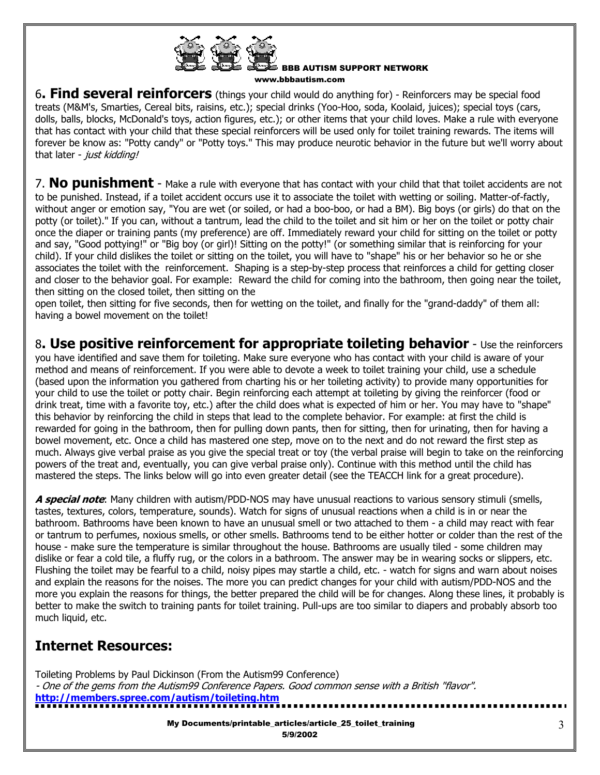

6**. Find several reinforcers** (things your child would do anything for) - Reinforcers may be special food treats (M&M's, Smarties, Cereal bits, raisins, etc.); special drinks (Yoo-Hoo, soda, Koolaid, juices); special toys (cars, dolls, balls, blocks, McDonald's toys, action figures, etc.); or other items that your child loves. Make a rule with everyone that has contact with your child that these special reinforcers will be used only for toilet training rewards. The items will forever be know as: "Potty candy" or "Potty toys." This may produce neurotic behavior in the future but we'll worry about that later - just kidding!

7. **No punishment** - Make a rule with everyone that has contact with your child that that toilet accidents are not to be punished. Instead, if a toilet accident occurs use it to associate the toilet with wetting or soiling. Matter-of-factly, without anger or emotion say, "You are wet (or soiled, or had a boo-boo, or had a BM). Big boys (or girls) do that on the potty (or toilet)." If you can, without a tantrum, lead the child to the toilet and sit him or her on the toilet or potty chair once the diaper or training pants (my preference) are off. Immediately reward your child for sitting on the toilet or potty and say, "Good pottying!" or "Big boy (or girl)! Sitting on the potty!" (or something similar that is reinforcing for your child). If your child dislikes the toilet or sitting on the toilet, you will have to "shape" his or her behavior so he or she associates the toilet with the reinforcement. Shaping is a step-by-step process that reinforces a child for getting closer and closer to the behavior goal. For example: Reward the child for coming into the bathroom, then going near the toilet, then sitting on the closed toilet, then sitting on the

open toilet, then sitting for five seconds, then for wetting on the toilet, and finally for the "grand-daddy" of them all: having a bowel movement on the toilet!

8**. Use positive reinforcement for appropriate toileting behavior** - Use the reinforcers you have identified and save them for toileting. Make sure everyone who has contact with your child is aware of your method and means of reinforcement. If you were able to devote a week to toilet training your child, use a schedule (based upon the information you gathered from charting his or her toileting activity) to provide many opportunities for your child to use the toilet or potty chair. Begin reinforcing each attempt at toileting by giving the reinforcer (food or drink treat, time with a favorite toy, etc.) after the child does what is expected of him or her. You may have to "shape" this behavior by reinforcing the child in steps that lead to the complete behavior. For example: at first the child is rewarded for going in the bathroom, then for pulling down pants, then for sitting, then for urinating, then for having a bowel movement, etc. Once a child has mastered one step, move on to the next and do not reward the first step as much. Always give verbal praise as you give the special treat or toy (the verbal praise will begin to take on the reinforcing powers of the treat and, eventually, you can give verbal praise only). Continue with this method until the child has mastered the steps. The links below will go into even greater detail (see the TEACCH link for a great procedure).

**A special note**: Many children with autism/PDD-NOS may have unusual reactions to various sensory stimuli (smells, tastes, textures, colors, temperature, sounds). Watch for signs of unusual reactions when a child is in or near the bathroom. Bathrooms have been known to have an unusual smell or two attached to them - a child may react with fear or tantrum to perfumes, noxious smells, or other smells. Bathrooms tend to be either hotter or colder than the rest of the house - make sure the temperature is similar throughout the house. Bathrooms are usually tiled - some children may dislike or fear a cold tile, a fluffy rug, or the colors in a bathroom. The answer may be in wearing socks or slippers, etc. Flushing the toilet may be fearful to a child, noisy pipes may startle a child, etc. - watch for signs and warn about noises and explain the reasons for the noises. The more you can predict changes for your child with autism/PDD-NOS and the more you explain the reasons for things, the better prepared the child will be for changes. Along these lines, it probably is better to make the switch to training pants for toilet training. Pull-ups are too similar to diapers and probably absorb too much liquid, etc.

## **Internet Resources:**

Toileting Problems by Paul Dickinson (From the Autism99 Conference) - One of the gems from the Autism99 Conference Papers. Good common sense with a British "flavor". **http://members.spree.com/autism/toileting.htm**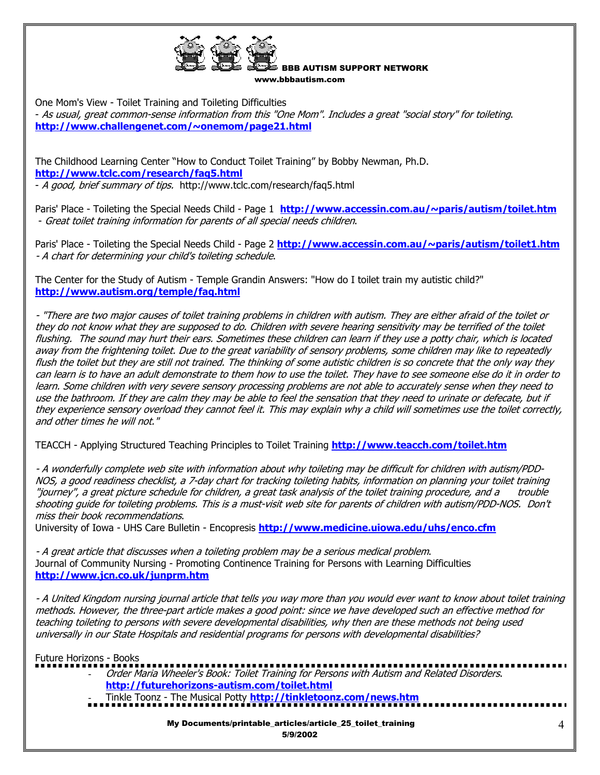

One Mom's View - Toilet Training and Toileting Difficulties

- As usual, great common-sense information from this "One Mom". Includes a great "social story" for toileting. **http://www.challengenet.com/~onemom/page21.html**

The Childhood Learning Center "How to Conduct Toilet Training" by Bobby Newman, Ph.D. **http://www.tclc.com/research/faq5.html** - A good, brief summary of tips. http://www.tclc.com/research/faq5.html

Paris' Place - Toileting the Special Needs Child - Page 1 **http://www.accessin.com.au/~paris/autism/toilet.htm** - Great toilet training information for parents of all special needs children.

Paris' Place - Toileting the Special Needs Child - Page 2 **http://www.accessin.com.au/~paris/autism/toilet1.htm** - A chart for determining your child's toileting schedule.

The Center for the Study of Autism - Temple Grandin Answers: "How do I toilet train my autistic child?" **http://www.autism.org/temple/faq.html**

- "There are two major causes of toilet training problems in children with autism. They are either afraid of the toilet or they do not know what they are supposed to do. Children with severe hearing sensitivity may be terrified of the toilet flushing. The sound may hurt their ears. Sometimes these children can learn if they use a potty chair, which is located away from the frightening toilet. Due to the great variability of sensory problems, some children may like to repeatedly flush the toilet but they are still not trained. The thinking of some autistic children is so concrete that the only way they can learn is to have an adult demonstrate to them how to use the toilet. They have to see someone else do it in order to learn. Some children with very severe sensory processing problems are not able to accurately sense when they need to use the bathroom. If they are calm they may be able to feel the sensation that they need to urinate or defecate, but if they experience sensory overload they cannot feel it. This may explain why a child will sometimes use the toilet correctly, and other times he will not."

TEACCH - Applying Structured Teaching Principles to Toilet Training **http://www.teacch.com/toilet.htm**

- A wonderfully complete web site with information about why toileting may be difficult for children with autism/PDD-NOS, a good readiness checklist, a 7-day chart for tracking toileting habits, information on planning your toilet training "journey", a great picture schedule for children, a great task analysis of the toilet training procedure, and a trouble shooting guide for toileting problems. This is a must-visit web site for parents of children with autism/PDD-NOS. Don't miss their book recommendations.

University of Iowa - UHS Care Bulletin - Encopresis **http://www.medicine.uiowa.edu/uhs/enco.cfm**

- A great article that discusses when a toileting problem may be a serious medical problem. Journal of Community Nursing - Promoting Continence Training for Persons with Learning Difficulties **http://www.jcn.co.uk/junprm.htm**

- A United Kingdom nursing journal article that tells you way more than you would ever want to know about toilet training methods. However, the three-part article makes a good point: since we have developed such an effective method for teaching toileting to persons with severe developmental disabilities, why then are these methods not being used universally in our State Hospitals and residential programs for persons with developmental disabilities?

Future Horizons - Books

- Order Maria Wheeler's Book: Toilet Training for Persons with Autism and Related Disorders. **http://futurehorizons-autism.com/toilet.html**
	- Tinkle Toonz The Musical Potty **http://tinkletoonz.com/news.htm**